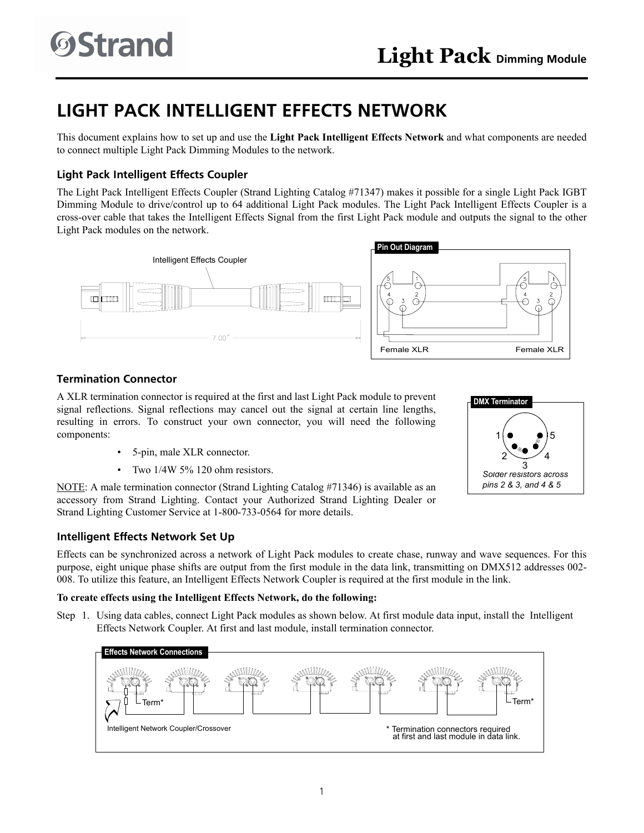# **LIGHT PACK INTELLIGENT EFFECTS NETWORK**

This document explains how to set up and use the **Light Pack Intelligent Effects Network** and what components are needed to connect multiple Light Pack Dimming Modules to the network.

# **Light Pack Intelligent Effects Coupler**

The Light Pack Intelligent Effects Coupler (Strand Lighting Catalog #71347) makes it possible for a single Light Pack IGBT Dimming Module to drive/control up to 64 additional Light Pack modules. The Light Pack Intelligent Effects Coupler is a cross-over cable that takes the Intelligent Effects Signal from the first Light Pack module and outputs the signal to the other Light Pack modules on the network.



## **Termination Connector**

A XLR termination connector is required at the first and last Light Pack module to prevent signal reflections. Signal reflections may cancel out the signal at certain line lengths, resulting in errors. To construct your own connector, you will need the following components:

- 5-pin, male XLR connector.
- Two 1/4W 5% 120 ohm resistors.

NOTE: A male termination connector (Strand Lighting Catalog #71346) is available as an accessory from Strand Lighting. Contact your Authorized Strand Lighting Dealer or Strand Lighting Customer Service at 1-800-733-0564 for more details.

### **Intelligent Effects Network Set Up**

Effects can be synchronized across a network of Light Pack modules to create chase, runway and wave sequences. For this purpose, eight unique phase shifts are output from the first module in the data link, transmitting on DMX512 addresses 002- 008. To utilize this feature, an Intelligent Effects Network Coupler is required at the first module in the link.

### **To create effects using the Intelligent Effects Network, do the following:**

Step 1. Using data cables, connect Light Pack modules as shown below. At first module data input, install the Intelligent Effects Network Coupler. At first and last module, install termination connector.